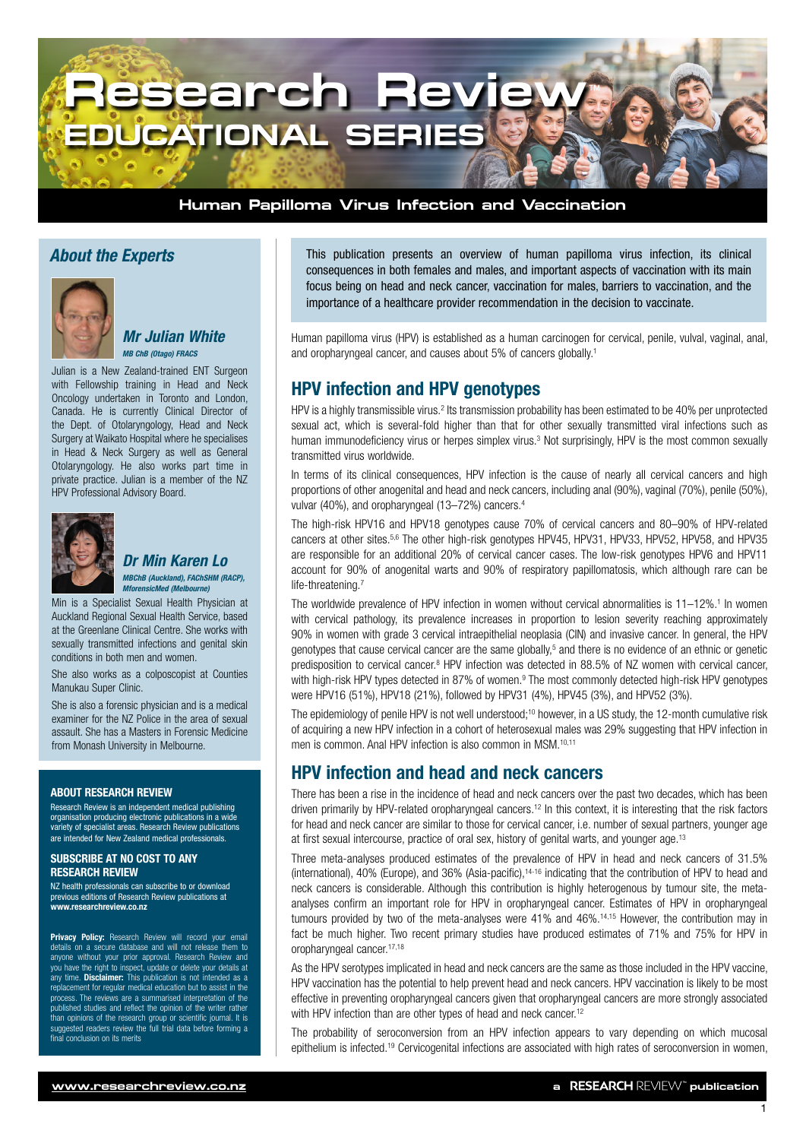

#### **Human Papilloma Virus Infection and Vaccination**



### *Mr Julian White MB ChB (Otago) FRACS*

Julian is a New Zealand-trained ENT Surgeon with Fellowship training in Head and Neck Oncology undertaken in Toronto and London, Canada. He is currently Clinical Director of the Dept. of Otolaryngology, Head and Neck Surgery at Waikato Hospital where he specialises in Head & Neck Surgery as well as General Otolaryngology. He also works part time in private practice. Julian is a member of the NZ HPV Professional Advisory Board.



*Dr Min Karen Lo MBChB (Auckland), FAChSHM (RACP), MforensicMed (Melbourne)* 

Min is a Specialist Sexual Health Physician at Auckland Regional Sexual Health Service, based at the Greenlane Clinical Centre. She works with sexually transmitted infections and genital skin conditions in both men and women.

She also works as a colposcopist at Counties Manukau Super Clinic.

She is also a forensic physician and is a medical examiner for the NZ Police in the area of sexual assault. She has a Masters in Forensic Medicine from Monash University in Melbourne.

#### ABOUT RESEARCH REVIEW

Research Review is an independent medical publishing organisation producing electronic publications in a wide variety of specialist areas. Research Review publications are intended for New Zealand medical professionals.

#### SUBSCRIBE AT NO COST TO ANY RESEARCH REVIEW

NZ health professionals can subscribe to or download previous editions of Research Review publications at [www.researchreview.co.nz](http://www.researchreview.co.nz)

Privacy Policy: Research Review will record your email<br>details on a secure database and will not release them to anyone without your prior approval. Research Review and you have the right to inspect, update or delete your details at<br>any time. **Disclaimer:** This publication is not intended as a replacement for regular medical education but to assist in the process. The reviews are a summarised interpretation of the published studies and reflect the opinion of the writer rather than opinions of the research group or scientific journal. It is suggested readers review the full trial data before forming a final conclusion on its merits

**About the Experts** This publication presents an overview of human papilloma virus infection, its clinical consequences in both females and males, and important aspects of vaccination with its main focus being on head and neck cancer, vaccination for males, barriers to vaccination, and the importance of a healthcare provider recommendation in the decision to vaccinate.

> Human papilloma virus (HPV) is established as a human carcinogen for cervical, penile, vulval, vaginal, anal, and oropharyngeal cancer, and causes about 5% of cancers globally.1

# HPV infection and HPV genotypes

HPV is a highly transmissible virus.<sup>2</sup> Its transmission probability has been estimated to be 40% per unprotected sexual act, which is several-fold higher than that for other sexually transmitted viral infections such as human immunodeficiency virus or herpes simplex virus.<sup>3</sup> Not surprisingly, HPV is the most common sexually transmitted virus worldwide.

In terms of its clinical consequences, HPV infection is the cause of nearly all cervical cancers and high proportions of other anogenital and head and neck cancers, including anal (90%), vaginal (70%), penile (50%), vulvar (40%), and oropharyngeal (13–72%) cancers.4

The high-risk HPV16 and HPV18 genotypes cause 70% of cervical cancers and 80–90% of HPV-related cancers at other sites.5,6 The other high-risk genotypes HPV45, HPV31, HPV33, HPV52, HPV58, and HPV35 are responsible for an additional 20% of cervical cancer cases. The low-risk genotypes HPV6 and HPV11 account for 90% of anogenital warts and 90% of respiratory papillomatosis, which although rare can be life-threatening.<sup>7</sup>

The worldwide prevalence of HPV infection in women without cervical abnormalities is 11–12%.<sup>1</sup> In women with cervical pathology, its prevalence increases in proportion to lesion severity reaching approximately 90% in women with grade 3 cervical intraepithelial neoplasia (CIN) and invasive cancer. In general, the HPV genotypes that cause cervical cancer are the same globally,<sup>5</sup> and there is no evidence of an ethnic or genetic predisposition to cervical cancer.<sup>8</sup> HPV infection was detected in 88.5% of NZ women with cervical cancer, with high-risk HPV types detected in 87% of women.<sup>9</sup> The most commonly detected high-risk HPV genotypes were HPV16 (51%), HPV18 (21%), followed by HPV31 (4%), HPV45 (3%), and HPV52 (3%).

The epidemiology of penile HPV is not well understood;<sup>10</sup> however, in a US study, the 12-month cumulative risk of acquiring a new HPV infection in a cohort of heterosexual males was 29% suggesting that HPV infection in men is common. Anal HPV infection is also common in MSM.<sup>10,11</sup>

# HPV infection and head and neck cancers

There has been a rise in the incidence of head and neck cancers over the past two decades, which has been driven primarily by HPV-related oropharyngeal cancers.12 In this context, it is interesting that the risk factors for head and neck cancer are similar to those for cervical cancer, i.e. number of sexual partners, younger age at first sexual intercourse, practice of oral sex, history of genital warts, and younger age.13

Three meta-analyses produced estimates of the prevalence of HPV in head and neck cancers of 31.5% (international), 40% (Europe), and 36% (Asia-pacific),14-16 indicating that the contribution of HPV to head and neck cancers is considerable. Although this contribution is highly heterogenous by tumour site, the metaanalyses confirm an important role for HPV in oropharyngeal cancer. Estimates of HPV in oropharyngeal tumours provided by two of the meta-analyses were 41% and 46%.14,15 However, the contribution may in fact be much higher. Two recent primary studies have produced estimates of 71% and 75% for HPV in oropharyngeal cancer.17,18

As the HPV serotypes implicated in head and neck cancers are the same as those included in the HPV vaccine, HPV vaccination has the potential to help prevent head and neck cancers. HPV vaccination is likely to be most effective in preventing oropharyngeal cancers given that oropharyngeal cancers are more strongly associated with HPV infection than are other types of head and neck cancer.<sup>12</sup>

The probability of seroconversion from an HPV infection appears to vary depending on which mucosal epithelium is infected.19 Cervicogenital infections are associated with high rates of seroconversion in women,

1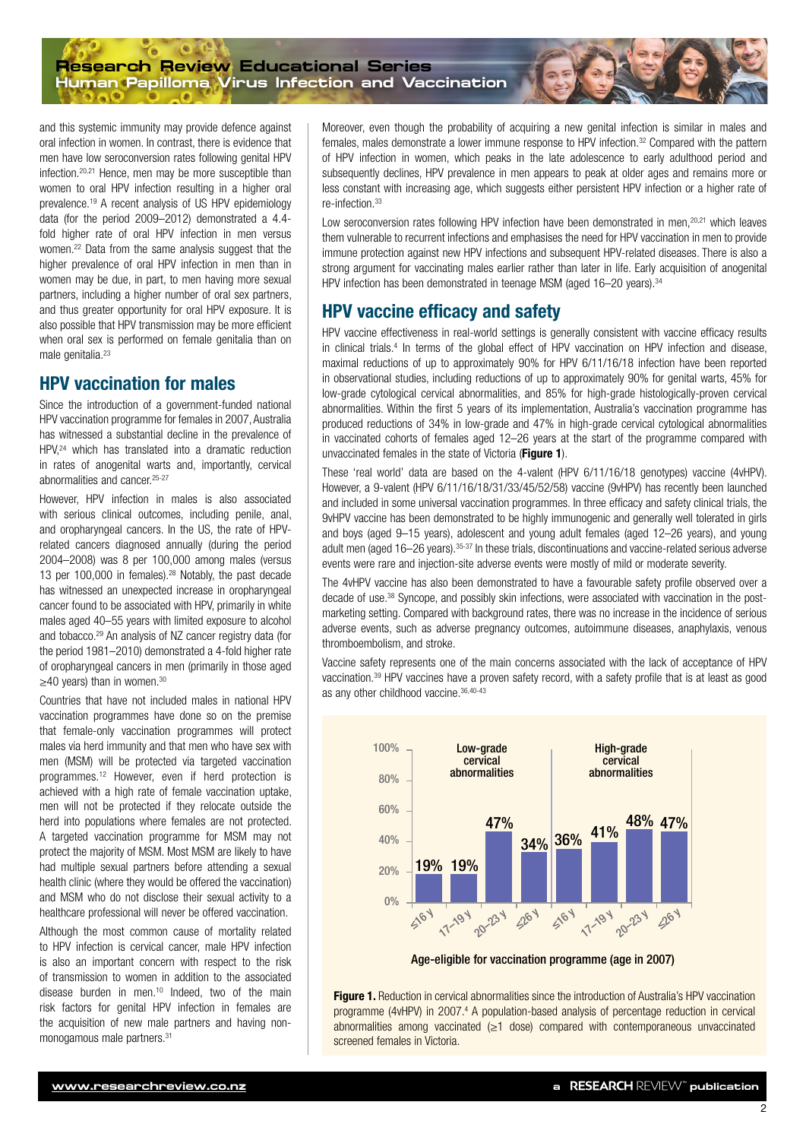and this systemic immunity may provide defence against oral infection in women. In contrast, there is evidence that men have low seroconversion rates following genital HPV infection.20,21 Hence, men may be more susceptible than women to oral HPV infection resulting in a higher oral prevalence.19 A recent analysis of US HPV epidemiology data (for the period 2009–2012) demonstrated a 4.4 fold higher rate of oral HPV infection in men versus women.<sup>22</sup> Data from the same analysis suggest that the higher prevalence of oral HPV infection in men than in women may be due, in part, to men having more sexual partners, including a higher number of oral sex partners, and thus greater opportunity for oral HPV exposure. It is also possible that HPV transmission may be more efficient when oral sex is performed on female genitalia than on male genitalia.23

# HPV vaccination for males

Since the introduction of a government-funded national HPV vaccination programme for females in 2007, Australia has witnessed a substantial decline in the prevalence of HPV,<sup>24</sup> which has translated into a dramatic reduction in rates of anogenital warts and, importantly, cervical abnormalities and cancer.25-27

However, HPV infection in males is also associated with serious clinical outcomes, including penile, anal, and oropharyngeal cancers. In the US, the rate of HPVrelated cancers diagnosed annually (during the period 2004–2008) was 8 per 100,000 among males (versus 13 per 100,000 in females).28 Notably, the past decade has witnessed an unexpected increase in oropharyngeal cancer found to be associated with HPV, primarily in white males aged 40–55 years with limited exposure to alcohol and tobacco.29 An analysis of NZ cancer registry data (for the period 1981–2010) demonstrated a 4-fold higher rate of oropharyngeal cancers in men (primarily in those aged  $\geq$ 40 years) than in women.<sup>30</sup>

Countries that have not included males in national HPV vaccination programmes have done so on the premise that female-only vaccination programmes will protect males via herd immunity and that men who have sex with men (MSM) will be protected via targeted vaccination programmes.12 However, even if herd protection is achieved with a high rate of female vaccination uptake, men will not be protected if they relocate outside the herd into populations where females are not protected. A targeted vaccination programme for MSM may not protect the majority of MSM. Most MSM are likely to have had multiple sexual partners before attending a sexual health clinic (where they would be offered the vaccination) and MSM who do not disclose their sexual activity to a healthcare professional will never be offered vaccination.

Although the most common cause of mortality related to HPV infection is cervical cancer, male HPV infection is also an important concern with respect to the risk of transmission to women in addition to the associated disease burden in men.10 Indeed, two of the main risk factors for genital HPV infection in females are the acquisition of new male partners and having nonmonogamous male partners.31

Moreover, even though the probability of acquiring a new genital infection is similar in males and females, males demonstrate a lower immune response to HPV infection.32 Compared with the pattern of HPV infection in women, which peaks in the late adolescence to early adulthood period and subsequently declines, HPV prevalence in men appears to peak at older ages and remains more or less constant with increasing age, which suggests either persistent HPV infection or a higher rate of re-infection.33

Low seroconversion rates following HPV infection have been demonstrated in men.<sup>20,21</sup> which leaves them vulnerable to recurrent infections and emphasises the need for HPV vaccination in men to provide immune protection against new HPV infections and subsequent HPV-related diseases. There is also a strong argument for vaccinating males earlier rather than later in life. Early acquisition of anogenital HPV infection has been demonstrated in teenage MSM (aged 16–20 years).34

# HPV vaccine efficacy and safety

HPV vaccine effectiveness in real-world settings is generally consistent with vaccine efficacy results in clinical trials.<sup>4</sup> In terms of the global effect of HPV vaccination on HPV infection and disease, maximal reductions of up to approximately 90% for HPV 6/11/16/18 infection have been reported in observational studies, including reductions of up to approximately 90% for genital warts, 45% for low-grade cytological cervical abnormalities, and 85% for high-grade histologically-proven cervical abnormalities. Within the first 5 years of its implementation, Australia's vaccination programme has produced reductions of 34% in low-grade and 47% in high-grade cervical cytological abnormalities in vaccinated cohorts of females aged 12–26 years at the start of the programme compared with unvaccinated females in the state of Victoria (Figure 1).

These 'real world' data are based on the 4-valent (HPV 6/11/16/18 genotypes) vaccine (4vHPV). However, a 9-valent (HPV 6/11/16/18/31/33/45/52/58) vaccine (9vHPV) has recently been launched and included in some universal vaccination programmes. In three efficacy and safety clinical trials, the 9vHPV vaccine has been demonstrated to be highly immunogenic and generally well tolerated in girls and boys (aged 9–15 years), adolescent and young adult females (aged 12–26 years), and young adult men (aged 16-26 years). 35-37 In these trials, discontinuations and vaccine-related serious adverse events were rare and injection-site adverse events were mostly of mild or moderate severity.

The 4vHPV vaccine has also been demonstrated to have a favourable safety profile observed over a decade of use.38 Syncope, and possibly skin infections, were associated with vaccination in the postmarketing setting. Compared with background rates, there was no increase in the incidence of serious adverse events, such as adverse pregnancy outcomes, autoimmune diseases, anaphylaxis, venous thromboembolism, and stroke.

Vaccine safety represents one of the main concerns associated with the lack of acceptance of HPV vaccination.39 HPV vaccines have a proven safety record, with a safety profile that is at least as good as any other childhood vaccine.36,40-43



Age-eligible for vaccination programme (age in 2007)

**Figure 1.** Reduction in cervical abnormalities since the introduction of Australia's HPV vaccination programme (4vHPV) in 2007.<sup>4</sup> A population-based analysis of percentage reduction in cervical abnormalities among vaccinated (≥1 dose) compared with contemporaneous unvaccinated screened females in Victoria.

2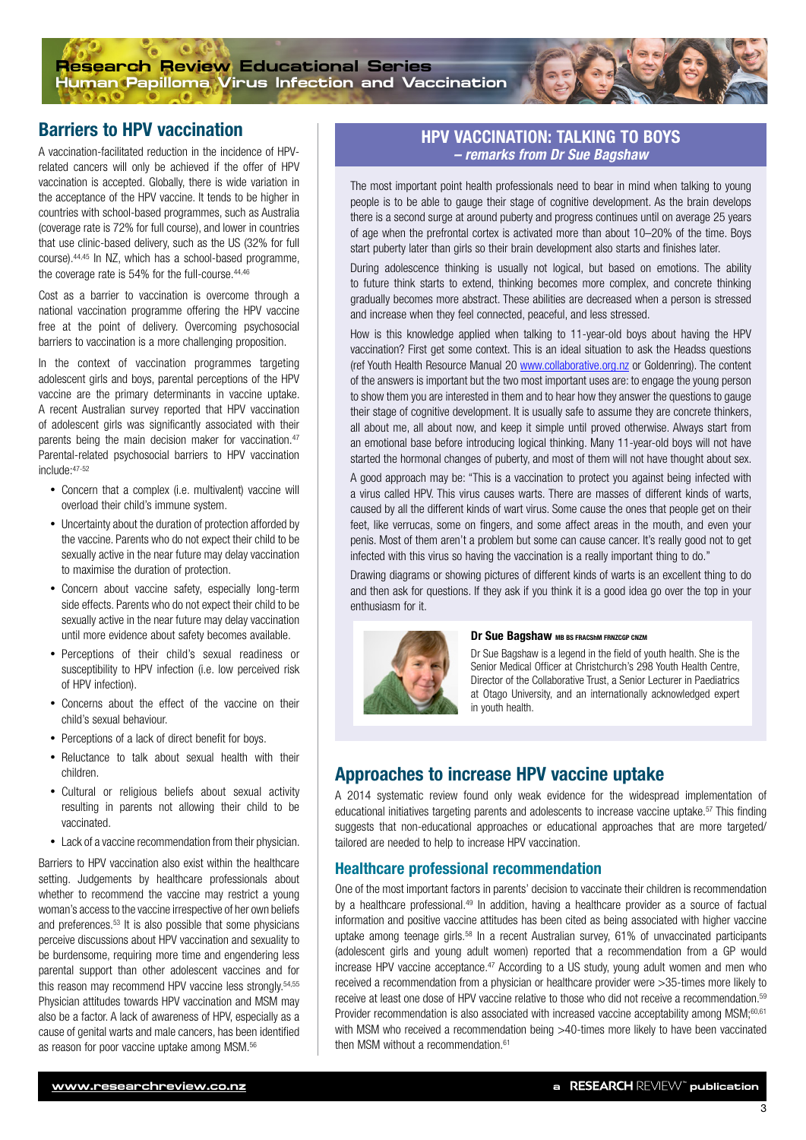# Barriers to HPV vaccination

A vaccination-facilitated reduction in the incidence of HPVrelated cancers will only be achieved if the offer of HPV vaccination is accepted. Globally, there is wide variation in the acceptance of the HPV vaccine. It tends to be higher in countries with school-based programmes, such as Australia (coverage rate is 72% for full course), and lower in countries that use clinic-based delivery, such as the US (32% for full course).44,45 In NZ, which has a school-based programme, the coverage rate is 54% for the full-course.44,46

**PARTICULES** 

Cost as a barrier to vaccination is overcome through a national vaccination programme offering the HPV vaccine free at the point of delivery. Overcoming psychosocial barriers to vaccination is a more challenging proposition.

In the context of vaccination programmes targeting adolescent girls and boys, parental perceptions of the HPV vaccine are the primary determinants in vaccine uptake. A recent Australian survey reported that HPV vaccination of adolescent girls was significantly associated with their parents being the main decision maker for vaccination.<sup>47</sup> Parental-related psychosocial barriers to HPV vaccination include:47-52

- Concern that a complex (i.e. multivalent) vaccine will overload their child's immune system.
- Uncertainty about the duration of protection afforded by the vaccine. Parents who do not expect their child to be sexually active in the near future may delay vaccination to maximise the duration of protection.
- Concern about vaccine safety, especially long-term side effects. Parents who do not expect their child to be sexually active in the near future may delay vaccination until more evidence about safety becomes available.
- • Perceptions of their child's sexual readiness or susceptibility to HPV infection (i.e. low perceived risk of HPV infection).
- Concerns about the effect of the vaccine on their child's sexual behaviour.
- Perceptions of a lack of direct benefit for boys.
- Reluctance to talk about sexual health with their children.
- • Cultural or religious beliefs about sexual activity resulting in parents not allowing their child to be vaccinated.
- Lack of a vaccine recommendation from their physician.

Barriers to HPV vaccination also exist within the healthcare setting. Judgements by healthcare professionals about whether to recommend the vaccine may restrict a young woman's access to the vaccine irrespective of her own beliefs and preferences.53 It is also possible that some physicians perceive discussions about HPV vaccination and sexuality to be burdensome, requiring more time and engendering less parental support than other adolescent vaccines and for this reason may recommend HPV vaccine less strongly.54,55 Physician attitudes towards HPV vaccination and MSM may also be a factor. A lack of awareness of HPV, especially as a cause of genital warts and male cancers, has been identified as reason for poor vaccine uptake among MSM.56

## HPV VACCINATION: TALKING TO BOYS *– remarks from Dr Sue Bagshaw*

The most important point health professionals need to bear in mind when talking to young people is to be able to gauge their stage of cognitive development. As the brain develops there is a second surge at around puberty and progress continues until on average 25 years of age when the prefrontal cortex is activated more than about 10–20% of the time. Boys start puberty later than girls so their brain development also starts and finishes later.

During adolescence thinking is usually not logical, but based on emotions. The ability to future think starts to extend, thinking becomes more complex, and concrete thinking gradually becomes more abstract. These abilities are decreased when a person is stressed and increase when they feel connected, peaceful, and less stressed.

How is this knowledge applied when talking to 11-year-old boys about having the HPV vaccination? First get some context. This is an ideal situation to ask the Headss questions (ref Youth Health Resource Manual 20 [www.collaborative.org.nz](http://www.collaborative.org.nz/) or Goldenring). The content of the answers is important but the two most important uses are: to engage the young person to show them you are interested in them and to hear how they answer the questions to gauge their stage of cognitive development. It is usually safe to assume they are concrete thinkers, all about me, all about now, and keep it simple until proved otherwise. Always start from an emotional base before introducing logical thinking. Many 11-year-old boys will not have started the hormonal changes of puberty, and most of them will not have thought about sex.

A good approach may be: "This is a vaccination to protect you against being infected with a virus called HPV. This virus causes warts. There are masses of different kinds of warts, caused by all the different kinds of wart virus. Some cause the ones that people get on their feet, like verrucas, some on fingers, and some affect areas in the mouth, and even your penis. Most of them aren't a problem but some can cause cancer. It's really good not to get infected with this virus so having the vaccination is a really important thing to do."

Drawing diagrams or showing pictures of different kinds of warts is an excellent thing to do and then ask for questions. If they ask if you think it is a good idea go over the top in your enthusiasm for it.



#### Dr Sue Bagshaw MB BS FRACShM FRNZCGP CNZM

Dr Sue Bagshaw is a legend in the field of youth health. She is the Senior Medical Officer at Christchurch's 298 Youth Health Centre, Director of the Collaborative Trust, a Senior Lecturer in Paediatrics at Otago University, and an internationally acknowledged expert in youth health.

# Approaches to increase HPV vaccine uptake

A 2014 systematic review found only weak evidence for the widespread implementation of educational initiatives targeting parents and adolescents to increase vaccine uptake.<sup>57</sup> This finding suggests that non-educational approaches or educational approaches that are more targeted/ tailored are needed to help to increase HPV vaccination.

## Healthcare professional recommendation

One of the most important factors in parents' decision to vaccinate their children is recommendation by a healthcare professional.49 In addition, having a healthcare provider as a source of factual information and positive vaccine attitudes has been cited as being associated with higher vaccine uptake among teenage girls.<sup>58</sup> In a recent Australian survey, 61% of unvaccinated participants (adolescent girls and young adult women) reported that a recommendation from a GP would increase HPV vaccine acceptance.<sup>47</sup> According to a US study, young adult women and men who received a recommendation from a physician or healthcare provider were >35-times more likely to receive at least one dose of HPV vaccine relative to those who did not receive a recommendation.59 Provider recommendation is also associated with increased vaccine acceptability among MSM;<sup>60,61</sup> with MSM who received a recommendation being >40-times more likely to have been vaccinated then MSM without a recommendation.<sup>61</sup>

3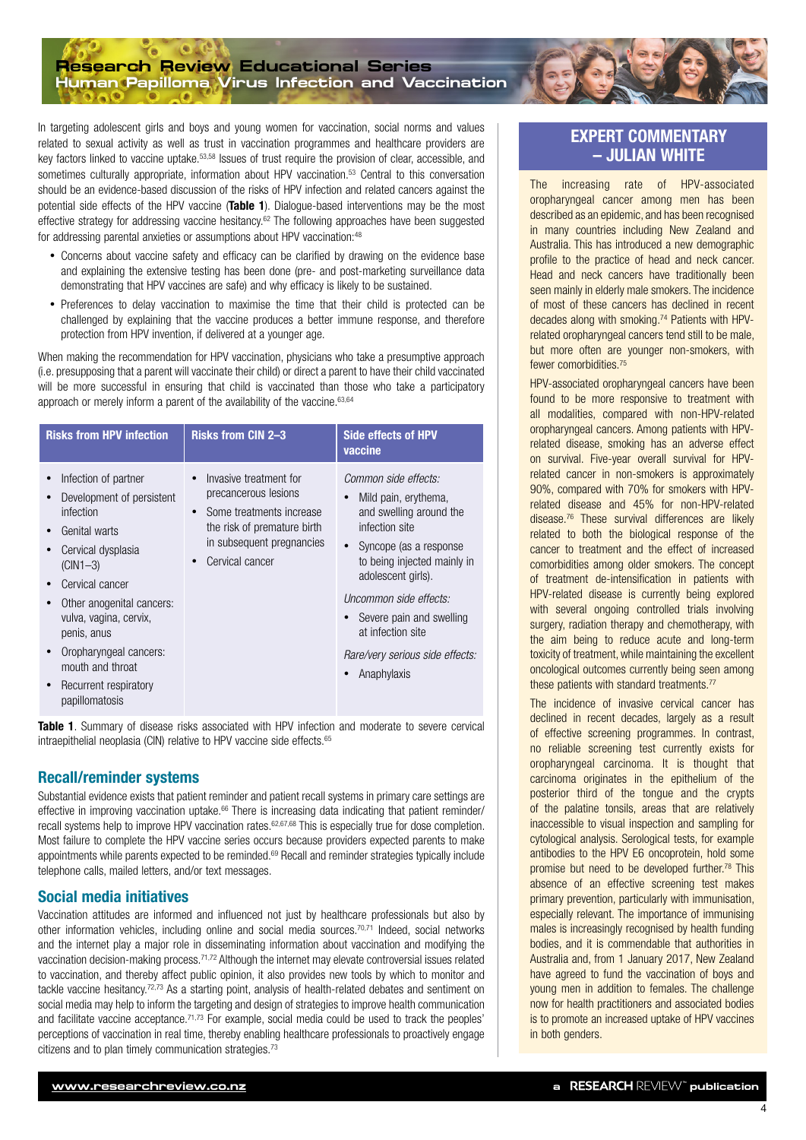**Production Research Review Educational Series Human Papilloma Virus Infection and Vaccination**

In targeting adolescent girls and boys and young women for vaccination, social norms and values related to sexual activity as well as trust in vaccination programmes and healthcare providers are key factors linked to vaccine uptake.<sup>53,58</sup> Issues of trust require the provision of clear, accessible, and sometimes culturally appropriate, information about HPV vaccination.<sup>53</sup> Central to this conversation should be an evidence-based discussion of the risks of HPV infection and related cancers against the potential side effects of the HPV vaccine (Table 1). Dialogue-based interventions may be the most effective strategy for addressing vaccine hesitancy.<sup>62</sup> The following approaches have been suggested for addressing parental anxieties or assumptions about HPV vaccination:<sup>48</sup>

- Concerns about vaccine safety and efficacy can be clarified by drawing on the evidence base and explaining the extensive testing has been done (pre- and post-marketing surveillance data demonstrating that HPV vaccines are safe) and why efficacy is likely to be sustained.
- Preferences to delay vaccination to maximise the time that their child is protected can be challenged by explaining that the vaccine produces a better immune response, and therefore protection from HPV invention, if delivered at a younger age.

When making the recommendation for HPV vaccination, physicians who take a presumptive approach (i.e. presupposing that a parent will vaccinate their child) or direct a parent to have their child vaccinated will be more successful in ensuring that child is vaccinated than those who take a participatory approach or merely inform a parent of the availability of the vaccine. $63,64$ 

| <b>Risks from HPV infection</b>                                                                                                                                                                                                                                                                       | <b>Risks from CIN 2-3</b>                                                                                                                                 | <b>Side effects of HPV</b><br>vaccine                                                                                                                                                                                                                                                                     |
|-------------------------------------------------------------------------------------------------------------------------------------------------------------------------------------------------------------------------------------------------------------------------------------------------------|-----------------------------------------------------------------------------------------------------------------------------------------------------------|-----------------------------------------------------------------------------------------------------------------------------------------------------------------------------------------------------------------------------------------------------------------------------------------------------------|
| Infection of partner<br>Development of persistent<br>infection<br>Genital warts<br>Cervical dysplasia<br>$(CIN1-3)$<br>Cervical cancer<br>Other anogenital cancers:<br>vulva, vagina, cervix,<br>penis, anus<br>Oropharyngeal cancers:<br>mouth and throat<br>Recurrent respiratory<br>papillomatosis | Invasive treatment for<br>precancerous lesions<br>Some treatments increase<br>the risk of premature birth<br>in subsequent pregnancies<br>Cervical cancer | Common side effects:<br>Mild pain, erythema,<br>and swelling around the<br>infection site<br>• Syncope (as a response<br>to being injected mainly in<br>adolescent girls).<br>Uncommon side effects:<br>• Severe pain and swelling<br>at infection site<br>Rare/very serious side effects:<br>Anaphylaxis |

**Table 1.** Summary of disease risks associated with HPV infection and moderate to severe cervical intraepithelial neoplasia (CIN) relative to HPV vaccine side effects.<sup>65</sup>

## Recall/reminder systems

Substantial evidence exists that patient reminder and patient recall systems in primary care settings are effective in improving vaccination uptake.<sup>66</sup> There is increasing data indicating that patient reminder/ recall systems help to improve HPV vaccination rates.62,67,68 This is especially true for dose completion. Most failure to complete the HPV vaccine series occurs because providers expected parents to make appointments while parents expected to be reminded.<sup>69</sup> Recall and reminder strategies typically include telephone calls, mailed letters, and/or text messages.

## Social media initiatives

Vaccination attitudes are informed and influenced not just by healthcare professionals but also by other information vehicles, including online and social media sources.70,71 Indeed, social networks and the internet play a major role in disseminating information about vaccination and modifying the vaccination decision-making process.71,72 Although the internet may elevate controversial issues related to vaccination, and thereby affect public opinion, it also provides new tools by which to monitor and tackle vaccine hesitancy.72,73 As a starting point, analysis of health-related debates and sentiment on social media may help to inform the targeting and design of strategies to improve health communication and facilitate vaccine acceptance.<sup>71,73</sup> For example, social media could be used to track the peoples' perceptions of vaccination in real time, thereby enabling healthcare professionals to proactively engage citizens and to plan timely communication strategies.73

# EXPERT COMMENTARY – JULIAN WHITE

The increasing rate of HPV-associated oropharyngeal cancer among men has been described as an epidemic, and has been recognised in many countries including New Zealand and Australia. This has introduced a new demographic profile to the practice of head and neck cancer. Head and neck cancers have traditionally been seen mainly in elderly male smokers. The incidence of most of these cancers has declined in recent decades along with smoking.74 Patients with HPVrelated oropharyngeal cancers tend still to be male, but more often are younger non-smokers, with fewer comorbidities.75

HPV-associated oropharyngeal cancers have been found to be more responsive to treatment with all modalities, compared with non-HPV-related oropharyngeal cancers. Among patients with HPVrelated disease, smoking has an adverse effect on survival. Five-year overall survival for HPVrelated cancer in non-smokers is approximately 90%, compared with 70% for smokers with HPVrelated disease and 45% for non-HPV-related disease.76 These survival differences are likely related to both the biological response of the cancer to treatment and the effect of increased comorbidities among older smokers. The concept of treatment de-intensification in patients with HPV-related disease is currently being explored with several ongoing controlled trials involving surgery, radiation therapy and chemotherapy, with the aim being to reduce acute and long-term toxicity of treatment, while maintaining the excellent oncological outcomes currently being seen among these patients with standard treatments.<sup>77</sup>

The incidence of invasive cervical cancer has declined in recent decades, largely as a result of effective screening programmes. In contrast, no reliable screening test currently exists for oropharyngeal carcinoma. It is thought that carcinoma originates in the epithelium of the posterior third of the tongue and the crypts of the palatine tonsils, areas that are relatively inaccessible to visual inspection and sampling for cytological analysis. Serological tests, for example antibodies to the HPV E6 oncoprotein, hold some promise but need to be developed further.<sup>78</sup> This absence of an effective screening test makes primary prevention, particularly with immunisation, especially relevant. The importance of immunising males is increasingly recognised by health funding bodies, and it is commendable that authorities in Australia and, from 1 January 2017, New Zealand have agreed to fund the vaccination of boys and young men in addition to females. The challenge now for health practitioners and associated bodies is to promote an increased uptake of HPV vaccines in both genders.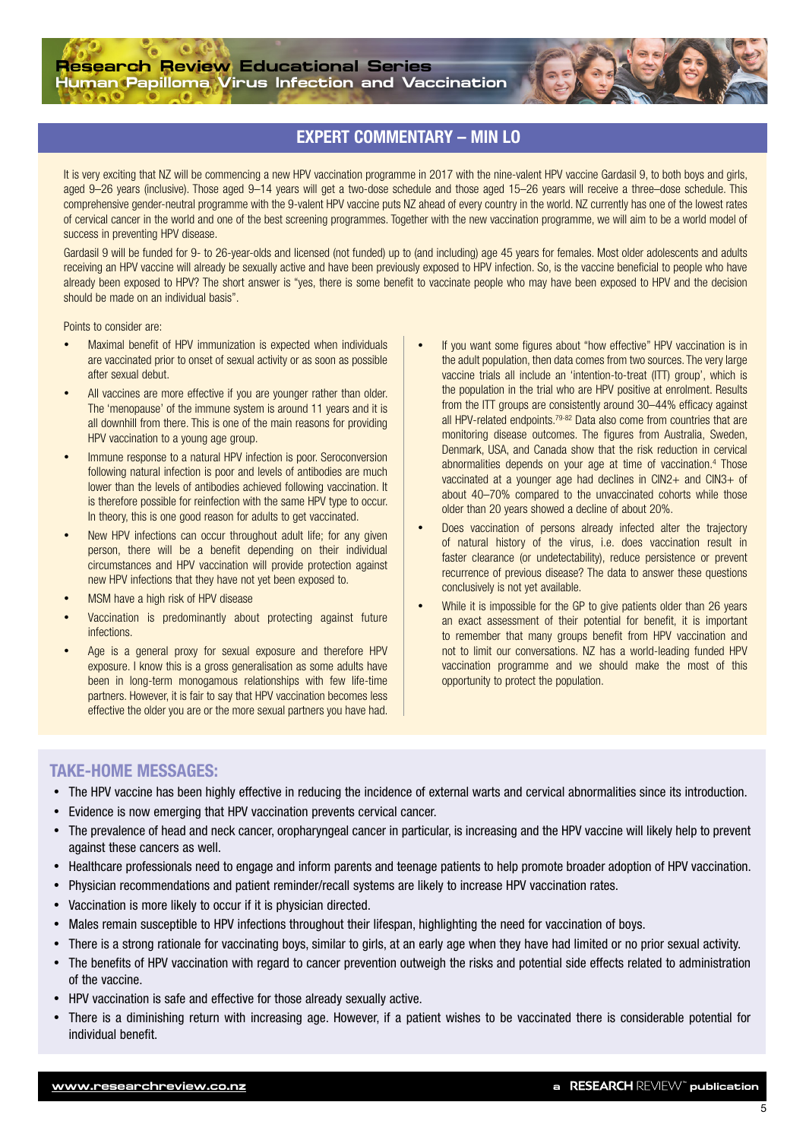

It is very exciting that NZ will be commencing a new HPV vaccination programme in 2017 with the nine-valent HPV vaccine Gardasil 9, to both boys and girls, aged 9–26 years (inclusive). Those aged 9–14 years will get a two-dose schedule and those aged 15–26 years will receive a three–dose schedule. This comprehensive gender-neutral programme with the 9-valent HPV vaccine puts NZ ahead of every country in the world. NZ currently has one of the lowest rates of cervical cancer in the world and one of the best screening programmes. Together with the new vaccination programme, we will aim to be a world model of success in preventing HPV disease.

Gardasil 9 will be funded for 9- to 26-year-olds and licensed (not funded) up to (and including) age 45 years for females. Most older adolescents and adults receiving an HPV vaccine will already be sexually active and have been previously exposed to HPV infection. So, is the vaccine beneficial to people who have already been exposed to HPV? The short answer is "yes, there is some benefit to vaccinate people who may have been exposed to HPV and the decision should be made on an individual basis".

Points to consider are:

- Maximal benefit of HPV immunization is expected when individuals are vaccinated prior to onset of sexual activity or as soon as possible after sexual debut.
- All vaccines are more effective if you are younger rather than older. The 'menopause' of the immune system is around 11 years and it is all downhill from there. This is one of the main reasons for providing HPV vaccination to a young age group.
- Immune response to a natural HPV infection is poor. Seroconversion following natural infection is poor and levels of antibodies are much lower than the levels of antibodies achieved following vaccination. It is therefore possible for reinfection with the same HPV type to occur. In theory, this is one good reason for adults to get vaccinated.
- New HPV infections can occur throughout adult life; for any given person, there will be a benefit depending on their individual circumstances and HPV vaccination will provide protection against new HPV infections that they have not yet been exposed to.
- MSM have a high risk of HPV disease
- Vaccination is predominantly about protecting against future infections.
- Age is a general proxy for sexual exposure and therefore HPV exposure. I know this is a gross generalisation as some adults have been in long-term monogamous relationships with few life-time partners. However, it is fair to say that HPV vaccination becomes less effective the older you are or the more sexual partners you have had.
- If you want some figures about "how effective" HPV vaccination is in the adult population, then data comes from two sources. The very large vaccine trials all include an 'intention-to-treat (ITT) group', which is the population in the trial who are HPV positive at enrolment. Results from the ITT groups are consistently around 30–44% efficacy against all HPV-related endpoints.<sup>79-82</sup> Data also come from countries that are monitoring disease outcomes. The figures from Australia, Sweden, Denmark, USA, and Canada show that the risk reduction in cervical abnormalities depends on your age at time of vaccination.4 Those vaccinated at a younger age had declines in CIN2+ and CIN3+ of about 40–70% compared to the unvaccinated cohorts while those older than 20 years showed a decline of about 20%.
- Does vaccination of persons already infected alter the trajectory of natural history of the virus, i.e. does vaccination result in faster clearance (or undetectability), reduce persistence or prevent recurrence of previous disease? The data to answer these questions conclusively is not yet available.
- While it is impossible for the GP to give patients older than 26 years an exact assessment of their potential for benefit, it is important to remember that many groups benefit from HPV vaccination and not to limit our conversations. NZ has a world-leading funded HPV vaccination programme and we should make the most of this opportunity to protect the population.

## TAKE-HOME MESSAGES:

- • The HPV vaccine has been highly effective in reducing the incidence of external warts and cervical abnormalities since its introduction.
- Evidence is now emerging that HPV vaccination prevents cervical cancer.
- The prevalence of head and neck cancer, oropharyngeal cancer in particular, is increasing and the HPV vaccine will likely help to prevent against these cancers as well.
- Healthcare professionals need to engage and inform parents and teenage patients to help promote broader adoption of HPV vaccination.
- Physician recommendations and patient reminder/recall systems are likely to increase HPV vaccination rates.
- Vaccination is more likely to occur if it is physician directed.
- Males remain susceptible to HPV infections throughout their lifespan, highlighting the need for vaccination of boys.
- There is a strong rationale for vaccinating boys, similar to girls, at an early age when they have had limited or no prior sexual activity.
- The benefits of HPV vaccination with regard to cancer prevention outweigh the risks and potential side effects related to administration of the vaccine.
- HPV vaccination is safe and effective for those already sexually active.
- • There is a diminishing return with increasing age. However, if a patient wishes to be vaccinated there is considerable potential for individual benefit.